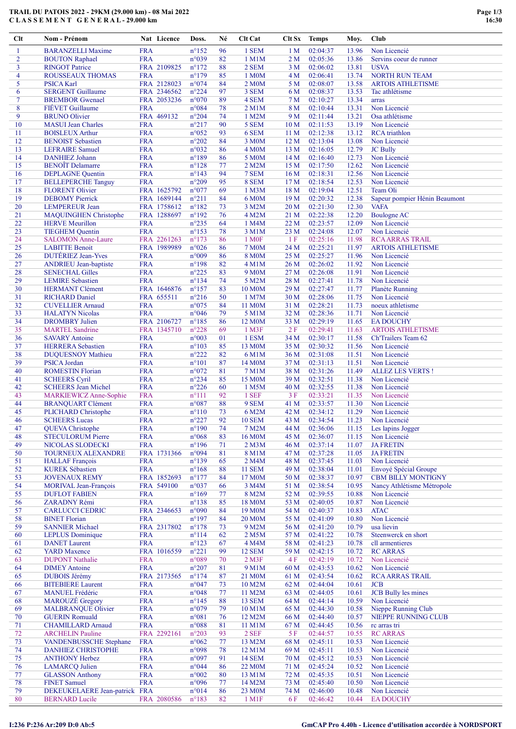## TRAIL DU PATOIS 2022 - 29KM (29.000 km) - 08 Mai 2022 C L A S S E M E N T G E N E R A L - 29.000 km

| Clt            | Nom - Prénom                                        |                          | Nat Licence               | Doss.                            | Né       | Clt Cat                     | Clt Sx                  | <b>Temps</b>         | Moy.           | <b>Club</b>                                |
|----------------|-----------------------------------------------------|--------------------------|---------------------------|----------------------------------|----------|-----------------------------|-------------------------|----------------------|----------------|--------------------------------------------|
| $\mathbf{1}$   | <b>BARANZELLI Maxime</b>                            | <b>FRA</b>               |                           | $n^{\circ}152$                   | 96       | 1 SEM                       | 1 <sub>M</sub>          | 02:04:37             | 13.96          | Non Licencié                               |
| $\overline{2}$ | <b>BOUTON Raphael</b>                               | <b>FRA</b>               |                           | n°039                            | 82       | 1 M1M                       | 2 <sub>M</sub>          | 02:05:36             | 13.86          | Servins coeur de runner                    |
| 3              | <b>RINGOT Patrice</b>                               |                          | FRA 2109825               | $n^{\circ}172$                   | 88       | 2 SEM                       | 3M                      | 02:06:02             | 13.81          | <b>USVA</b>                                |
| 4              | ROUSSEAUX THOMAS                                    | <b>FRA</b>               |                           | $n^{\circ}179$                   | 85       | 1 M0M                       | 4 M                     | 02:06:41             | 13.74          | <b>NORTH RUN TEAM</b>                      |
| 5              | <b>PSICA Karl</b>                                   |                          | FRA 2128023               | n°074                            | 84       | 2 M <sub>0</sub> M          | 5 M                     | 02:08:07             | 13.58          | <b>ARTOIS ATHLETISME</b>                   |
| 6              | <b>SERGENT Guillaume</b>                            |                          | FRA 2346562               | $n^{\circ}224$                   | 97       | 3 SEM                       | 6 M                     | 02:08:37             | 13.53          | Tac athlétisme                             |
| $\tau$         | <b>BREMBOR</b> Gwenael                              |                          | FRA 2053236               | $n^{\circ}070$                   | 89       | 4 SEM                       | 7 <sub>M</sub>          | 02:10:27             | 13.34          | arras                                      |
| 8              | FIÉVET Guillaume                                    | <b>FRA</b>               |                           | $n^{\circ}084$                   | 78       | $2$ M $1$ M                 | 8 M                     | 02:10:44             | 13.31          | Non Licencié                               |
| 9              | <b>BRUNO Olivier</b>                                |                          | FRA 469132                | $n^{\circ}204$                   | 74       | 1 M2M                       | 9 M                     | 02:11:44             | 13.21          | Osa athlétisme                             |
| 10             | <b>MASUI</b> Jean Charles                           | <b>FRA</b>               |                           | $n^{\circ}217$                   | 90       | 5 SEM                       | 10 <sub>M</sub>         | 02:11:53             | 13.19          | Non Licencié                               |
| 11             | <b>BOISLEUX Arthur</b>                              | <b>FRA</b>               |                           | $n^{\circ}052$                   | 93       | 6 SEM<br>3 M <sub>0</sub> M | 11 <sub>M</sub>         | 02:12:38             | 13.12          | <b>RCA</b> triathlon                       |
| 12<br>13       | <b>BENOIST Sebastien</b><br><b>LEFRAIRE Samuel</b>  | <b>FRA</b><br><b>FRA</b> |                           | $n^{\circ}202$<br>n°032          | 84<br>86 | 4 M0M                       | 12 <sub>M</sub><br>13 M | 02:13:04<br>02:16:05 | 13.08<br>12.79 | Non Licencié<br><b>JC Bully</b>            |
| 14             | <b>DANHIEZ Johann</b>                               | <b>FRA</b>               |                           | $n^{\circ}189$                   | 86       | 5 M0M                       | 14 M                    | 02:16:40             | 12.73          | Non Licencié                               |
| 15             | <b>BENOIT</b> Delamarre                             | <b>FRA</b>               |                           | $n^{\circ}128$                   | 77       | 2 M2M                       | 15 M                    | 02:17:50             | 12.62          | Non Licencié                               |
| 16             | <b>DEPLAGNE Quentin</b>                             | <b>FRA</b>               |                           | $n^{\circ}143$                   | 94       | 7 SEM                       | 16 <sub>M</sub>         | 02:18:31             | 12.56          | Non Licencié                               |
| 17             | <b>BELLEPERCHE Tanguy</b>                           | <b>FRA</b>               |                           | $n^{\circ}209$                   | 95       | 8 SEM                       | 17 M                    | 02:18:54             | 12.53          | Non Licencié                               |
| 18             | <b>FLORENT Olivier</b>                              |                          | FRA 1625792               | $n^{\circ}077$                   | 69       | 1 M3M                       | 18 <sub>M</sub>         | 02:19:04             | 12.51          | Team Oli                                   |
| 19             | <b>DEBOMY</b> Pierrick                              |                          | FRA 1689144               | $n^{\circ}211$                   | 84       | 6 M <sub>0</sub> M          | 19 <sub>M</sub>         | 02:20:32             | 12.38          | Sapeur pompier Hénin Beaumont              |
| 20             | <b>LEMPEREUR Jean</b>                               |                          | FRA 1758612               | $n^{\circ}182$                   | 73       | 3 M2M                       | 20 <sub>M</sub>         | 02:21:30             | 12.30          | <b>VAFA</b>                                |
| 21             | <b>MAQUINGHEN Christophe</b>                        |                          | FRA 1288697               | $n^{\circ}192$                   | 76       | 4 M2M                       | 21 M                    | 02:22:38             | 12.20          | <b>Boulogne AC</b>                         |
| 22             | <b>HERVE</b> Meurillon                              | <b>FRA</b>               |                           | $n^{\circ}235$                   | 64       | 1 M4M                       | 22 M                    | 02:23:57             | 12.09          | Non Licencié                               |
| 23             | <b>TIEGHEM</b> Quentin                              | <b>FRA</b>               |                           | $n^{\circ}153$                   | 78       | 3 M1M                       | 23 M                    | 02:24:08             | 12.07          | Non Licencié                               |
| 24             | <b>SALOMON Anne-Laure</b>                           |                          | FRA 2261263               | $n^{\circ}173$                   | 86       | 1 M <sub>OF</sub>           | 1F                      | 02:25:16             | 11.98          | <b>RCA ARRAS TRAIL</b>                     |
| 25             | <b>LABITTE Benoit</b>                               |                          | FRA 1989989               | $n^{\circ}026$                   | 86       | 7 M <sub>0</sub> M          | 24 M                    | 02:25:21             | 11.97          | <b>ARTOIS ATHLETISME</b>                   |
| 26             | <b>DUTÉRIEZ Jean-Yves</b>                           | <b>FRA</b>               |                           | n°009                            | 86       | <b>8 M0M</b>                | 25 M                    | 02:25:27             | 11.96          | Non Licencié                               |
| 27             | <b>ANDRIEU</b> Jean-baptiste                        | <b>FRA</b>               |                           | $n^{\circ}198$                   | 82       | 4 M1M                       | 26 M                    | 02:26:02             | 11.92          | Non Licencié                               |
| 28             | <b>SENECHAL Gilles</b>                              | <b>FRA</b>               |                           | $n^{\circ}225$                   | 83       | 9 M <sub>0</sub> M          | 27 M                    | 02:26:08             | 11.91          | Non Licencié                               |
| 29             | <b>LEMIRE</b> Sebastien                             | <b>FRA</b>               |                           | $n^{\circ}$ 134                  | 74       | 5 M2M                       | 28 M                    | 02:27:41             | 11.78          | Non Licencié                               |
| 30<br>31       | <b>HERMANT Clément</b>                              |                          | FRA 1646876<br>FRA 655511 | $n^{\circ}157$<br>$n^{\circ}216$ | 83<br>50 | 10 M0M<br>1 M7M             | 29 M<br>30 M            | 02:27:47<br>02:28:06 | 11.77<br>11.75 | <b>Planète Running</b><br>Non Licencié     |
| 32             | <b>RICHARD Daniel</b><br><b>CUVELLIER Arnaud</b>    | <b>FRA</b>               |                           | n°075                            | 84       | 11 M <sub>0</sub> M         | 31 M                    | 02:28:21             | 11.73          | noeux athletisme                           |
| 33             | <b>HALATYN</b> Nicolas                              | <b>FRA</b>               |                           | n°046                            | 79       | 5 M1M                       | 32 M                    | 02:28:36             | 11.71          | Non Licencié                               |
| 34             | <b>DROMBRY Julien</b>                               |                          | FRA 2106727               | $n^{\circ}185$                   | 86       | 12 M <sub>0</sub> M         | 33 M                    | 02:29:19             | 11.65          | <b>EA DOUCHY</b>                           |
| 35             | <b>MARTEL Sandrine</b>                              |                          | FRA 1345710               | $n^{\circ}228$                   | 69       | 1 M3F                       | 2F                      | 02:29:41             | 11.63          | <b>ARTOIS ATHLETISME</b>                   |
| 36             | <b>SAVARY Antoine</b>                               | <b>FRA</b>               |                           | $n^{\circ}003$                   | 01       | 1 ESM                       | 34 M                    | 02:30:17             | 11.58          | Ch'Trailers Team 62                        |
| 37             | <b>HERRERA</b> Sebastien                            | <b>FRA</b>               |                           | $n^{\circ}103$                   | 85       | 13 M0M                      | 35 M                    | 02:30:32             | 11.56          | Non Licencié                               |
| 38             | <b>DUQUESNOY Mathieu</b>                            | <b>FRA</b>               |                           | $n^{\circ}222$                   | 82       | 6 M1M                       | 36 M                    | 02:31:08             | 11.51          | Non Licencié                               |
| 39             | <b>PSICA Jordan</b>                                 | <b>FRA</b>               |                           | $n^{\circ}101$                   | 87       | 14 M <sub>0</sub> M         | 37 M                    | 02:31:13             | 11.51          | Non Licencié                               |
| 40             | <b>ROMESTIN Florian</b>                             | <b>FRA</b>               |                           | n°072                            | 81       | 7 M1M                       | 38 M                    | 02:31:26             | 11.49          | <b>ALLEZ LES VERTS!</b>                    |
| 41             | <b>SCHEERS Cyril</b>                                | <b>FRA</b>               |                           | $n^{\circ}234$                   | 85       | 15 M <sub>0</sub> M         | 39 M                    | 02:32:51             | 11.38          | Non Licencié                               |
| 42             | <b>SCHEERS Jean Michel</b>                          | <b>FRA</b>               |                           | $n^{\circ}226$                   | 60       | 1 M5M                       | 40 M                    | 02:32:55             | 11.38          | Non Licencié                               |
| 43             | MARKIEWICZ Anne-Sophie                              | <b>FRA</b>               |                           | $n^{\circ}111$                   | 92       | 1 SEF                       | 3F                      | 02:33:21             | 11.35          | Non Licencié                               |
| 44             | <b>BRANQUART Clément</b>                            | <b>FRA</b>               |                           | $n^{\circ}087$                   | 88       | 9 SEM                       | 41 M                    | 02:33:57             | 11.30          | Non Licencié                               |
| 45             | <b>PLICHARD Christophe</b>                          | <b>FRA</b>               |                           | $n^{\circ}110$                   | 73       | 6 M2M                       | 42 M                    | 02:34:12             | 11.29          | Non Licencié                               |
| 46             | <b>SCHEERS Lucas</b>                                | <b>FRA</b>               |                           | $n^{\circ}227$                   | 92       | <b>10 SEM</b>               | 43 M                    | 02:34:54             | 11.23          | Non Licencié                               |
| 47             | <b>QUEVA Christophe</b>                             | <b>FRA</b>               |                           | $n^{\circ}190$                   | 74       | 7 M2M                       | 44 M                    | 02:36:06             | 11.15          | Les lapins Jogger                          |
| 48             | <b>STECULORUM Pierre</b>                            | <b>FRA</b>               |                           | n°068                            | 83       | 16 M0M                      | 45 M                    | 02:36:07             | 11.15          | Non Licencié                               |
| 49<br>50       | NICOLAS SLODECKI                                    | <b>FRA</b>               | FRA 1731366               | $n^{\circ}196$<br>n°094          | 71<br>81 | $2$ M $3M$                  | 46 M                    | 02:37:14<br>02:37:28 | 11.07<br>11.05 | <b>JA FRETIN</b>                           |
| 51             | TOURNEUX ALEXANDRE<br><b>HALLAF</b> François        | <b>FRA</b>               |                           | $n^{\circ}139$                   | 65       | 8 M1M<br>2 M4M              | 47 M<br>48 M            | 02:37:45             | 11.03          | <b>JA FRETIN</b><br>Non Licencié           |
| 52             | <b>KUREK Sébastien</b>                              | <b>FRA</b>               |                           | $n^{\circ}168$                   | 88       | <b>11 SEM</b>               | 49 M                    | 02:38:04             | 11.01          | Envoyé Spécial Groupe                      |
| 53             | <b>JOVENAUX REMY</b>                                |                          | FRA 1852693               | $n^{\circ}177$                   | 84       | 17 M0M                      | 50 M                    | 02:38:37             | 10.97          | <b>CBM BILLY MONTIGNY</b>                  |
| 54             | <b>MORIVAL Jean-François</b>                        |                          | FRA 549100                | n°037                            | 66       | 3 M4M                       | 51 M                    | 02:38:54             | 10.95          | Nancy Athlétisme Métropole                 |
| 55             | <b>DUFLOT FABIEN</b>                                | <b>FRA</b>               |                           | $n^{\circ}169$                   | 77       | 8 M2M                       | 52 M                    | 02:39:55             | 10.88          | Non Licencié                               |
| 56             | <b>ZARADNY Rémi</b>                                 | <b>FRA</b>               |                           | $n^{\circ}138$                   | 85       | 18 M0M                      | 53 M                    | 02:40:05             | 10.87          | Non Licencié                               |
| 57             | <b>CARLUCCI CEDRIC</b>                              |                          | FRA 2346653               | n°090                            | 84       | 19 M <sub>0</sub> M         | 54 M                    | 02:40:37             | 10.83          | <b>ATAC</b>                                |
| 58             | <b>BINET Florian</b>                                | <b>FRA</b>               |                           | $n^{\circ}197$                   | 84       | <b>20 M0M</b>               | 55 M                    | 02:41:09             | 10.80          | Non Licencié                               |
| 59             | <b>SANNIER Michael</b>                              |                          | FRA 2317802               | $n^{\circ}178$                   | 73       | 9 M2M                       | 56 M                    | 02:41:20             | 10.79          | usa lievin                                 |
| 60             | <b>LEPLUS</b> Dominique                             | <b>FRA</b>               |                           | $n^{\circ}114$                   | 62       | 2 M5M                       | 57 M                    | 02:41:22             | 10.78          | Steenwerck en short                        |
| 61             | <b>DANET</b> Laurent                                | <b>FRA</b>               |                           | $n^{\circ}123$                   | 67       | 4 M4M                       | 58 M                    | 02:41:23             | 10.78          | cll armentieres                            |
| 62             | <b>YARD</b> Maxence                                 |                          | FRA 1016559               | $n^{\circ}221$                   | 99       | <b>12 SEM</b>               | 59 M                    | 02:42:15             | 10.72          | <b>RC ARRAS</b>                            |
| 63             | <b>DUPONT Nathalie</b>                              | <b>FRA</b>               |                           | n°089                            | 70       | $2$ M $3F$                  | 4 F                     | 02:42:19             | 10.72          | Non Licencié                               |
| 64             | <b>DIMEY</b> Antoine                                | <b>FRA</b>               |                           | $n^{\circ}207$                   | 81       | 9 M1M                       | 60 <sub>M</sub>         | 02:43:53             | 10.62          | Non Licencié                               |
| 65             | <b>DUBOIS Jérémy</b>                                |                          | FRA 2173565               | $n^{\circ}174$                   | 87       | 21 M0M                      | 61 M                    | 02:43:54             | 10.62          | <b>RCA ARRAS TRAIL</b>                     |
| 66             | <b>BITEBIERE Laurent</b>                            | <b>FRA</b>               |                           | n°047                            | 73       | 10 M2M                      | 62 M                    | 02:44:04             | 10.61          | <b>JCB</b>                                 |
| 67             | <b>MANUEL Frédéric</b>                              | <b>FRA</b>               |                           | n°048                            | 77       | 11 M2M                      | 63 M                    | 02:44:05             | 10.61          | <b>JCB</b> Bully les mines                 |
| 68<br>69       | <b>MAROUZE</b> Gregory<br><b>MALBRANQUE Olivier</b> | <b>FRA</b><br><b>FRA</b> |                           | $n^{\circ}145$<br>n°079          | 88<br>79 | <b>13 SEM</b><br>10 M1M     | 64 M                    | 02:44:14<br>02:44:30 | 10.59<br>10.58 | Non Licencié                               |
| 70             | <b>GUERIN Romuald</b>                               | <b>FRA</b>               |                           | $n^{\circ}081$                   | 76       | 12 M2M                      | 65 M<br>66 M            | 02:44:40             | 10.57          | Nieppe Running Club<br>NIEPPE RUNNING CLUB |
| 71             | <b>CHAMILLARD Arnaud</b>                            | <b>FRA</b>               |                           | n°088                            | 81       | 11 M1M                      | 67 M                    | 02:44:45             | 10.56          | rc arras tri                               |
| 72             | <b>ARCHELIN Pauline</b>                             |                          | FRA 2292161               | $n^{\circ}203$                   | 93       | 2 SEF                       | 5F                      | 02:44:57             | 10.55          | <b>RC ARRAS</b>                            |
| 73             | <b>VANDENBUSSCHE Stephane</b>                       | <b>FRA</b>               |                           | $n^{\circ}062$                   | 77       | 13 M2M                      | 68 M                    | 02:45:11             | 10.53          | Non Licencié                               |
| 74             | <b>DANHIEZ CHRISTOPHE</b>                           | <b>FRA</b>               |                           | n°098                            | 78       | 12 M1M                      | 69 M                    | 02:45:11             | 10.53          | Non Licencié                               |
| 75             | <b>ANTHONY Herbez</b>                               | <b>FRA</b>               |                           | $n^{\circ}097$                   | 91       | <b>14 SEM</b>               | 70 M                    | 02:45:12             | 10.53          | Non Licencié                               |
| 76             | <b>LAMARCQ</b> Julien                               | <b>FRA</b>               |                           | n°044                            | 86       | 22 M0M                      | 71 M                    | 02:45:24             | 10.52          | Non Licencié                               |
| 77             | <b>GLASSON</b> Anthony                              | <b>FRA</b>               |                           | $n^{\circ}002$                   | 80       | 13 M1M                      | 72 M                    | 02:45:35             | 10.51          | Non Licencié                               |
| 78             | <b>FINET Samuel</b>                                 | <b>FRA</b>               |                           | n°096                            | 77       | 14 M2M                      | 73 M                    | 02:45:40             | 10.50          | Non Licencié                               |
| 79             | DEKEUKELAERE Jean-patrick                           | <b>FRA</b>               |                           | $n^{\circ}014$                   | 86       | 23 M0M                      | 74 M                    | 02:46:00             | 10.48          | Non Licencié                               |
| 80             | <b>BERNARD</b> Lucile                               |                          | FRA 2080586               | $n^{\circ}183$                   | 82       | 1 M1F                       | 6 F                     | 02:46:42             | 10.44          | <b>EA DOUCHY</b>                           |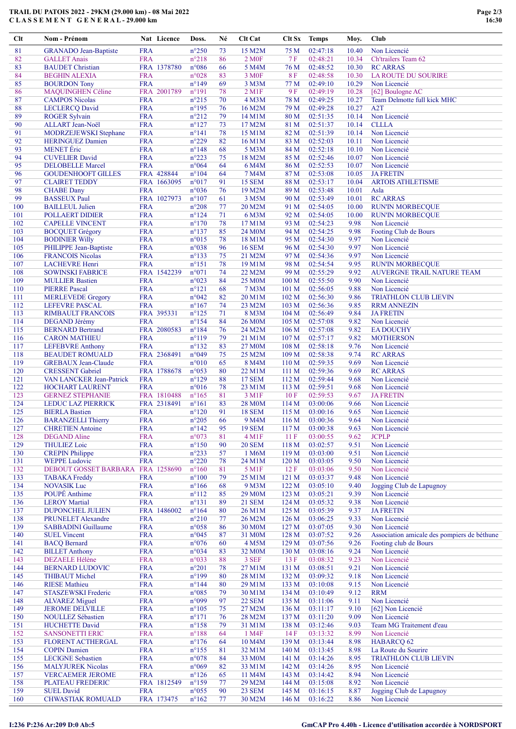## TRAIL DU PATOIS 2022 - 29KM (29.000 km) - 08 Mai 2022 C L A S S E M E N T G E N E R A L - 29.000 km

| Clt        | Nom - Prénom                                     |                          | Nat Licence | Doss.                            | Né       | Clt Cat                 | Clt Sx Temps     |                      | Moy.         | Club                                                  |
|------------|--------------------------------------------------|--------------------------|-------------|----------------------------------|----------|-------------------------|------------------|----------------------|--------------|-------------------------------------------------------|
| 81         | <b>GRANADO</b> Jean-Baptiste                     | <b>FRA</b>               |             | $n^{\circ}250$                   | 73       | 15 M2M                  | 75 M             | 02:47:18             | 10.40        | Non Licencié                                          |
| 82         | <b>GALLET</b> Anais                              | <b>FRA</b>               |             | $n^{\circ}218$                   | 86       | 2 M <sub>OF</sub>       | 7 F              | 02:48:21             | 10.34        | Ch'trailers Team 62                                   |
| 83         | <b>BAUDET</b> Christian                          |                          | FRA 1378780 | $n^{\circ}086$                   | 66       | 5 M4M                   | 76 M             | 02:48:52             | 10.30        | <b>RC ARRAS</b>                                       |
| 84         | <b>BEGHIN ALEXIA</b>                             | <b>FRA</b>               |             | n°028                            | 83       | 3 M <sub>OF</sub>       | 8F               | 02:48:58             | 10.30        | LA ROUTE DU SOURIRE                                   |
| 85         | <b>BOURDON</b> Tony                              | <b>FRA</b>               |             | $n^{\circ}149$                   | 69       | 3 M3M                   | 77 M             | 02:49:10             | 10.29        | Non Licencié                                          |
| 86         | MAQUINGHEN Céline                                |                          | FRA 2001789 | $n^{\circ}191$                   | 78       | $2$ M1F                 | 9F               | 02:49:19             | 10.28        | [62] Boulogne AC                                      |
| 87         | <b>CAMPOS Nicolas</b>                            | <b>FRA</b>               |             | $n^{\circ}215$                   | 70       | 4 M3M                   | 78 M             | 02:49:25             | 10.27        | Team Delmotte full kick MHC                           |
| 88         | <b>LECLERCQ David</b>                            | <b>FRA</b>               |             | $n^{\circ}195$                   | 76       | 16 M2M                  | 79 M             | 02:49:28             | 10.27        | A2T                                                   |
| 89         | <b>ROGER Sylvain</b>                             | <b>FRA</b>               |             | $n^{\circ}212$                   | 79       | 14 M1M                  | 80 M             | 02:51:35             | 10.14        | Non Licencié                                          |
| 90         | ALLART Jean-Noël                                 | <b>FRA</b>               |             | $n^{\circ}127$                   | 73       | 17 M2M                  | 81 M             | 02:51:37             | 10.14        | <b>CLLLA</b>                                          |
| 91         | MODRZEJEWSKI Stephane                            | <b>FRA</b>               |             | $n^{\circ}141$                   | 78       | 15 M1M                  | 82 M             | 02:51:39             | 10.14        | Non Licencié                                          |
| 92         | <b>HERINGUEZ Damien</b>                          | <b>FRA</b>               |             | $n^{\circ}229$                   | 82       | 16 M1M                  | 83 M             | 02:52:03             | 10.11        | Non Licencié                                          |
| 93         | <b>MENET</b> Éric                                | <b>FRA</b>               |             | $n^{\circ}148$                   | 68       | 5 M3M                   | 84 M             | 02:52:18             | 10.10        | Non Licencié                                          |
| 94         | <b>CUVELIER David</b>                            | <b>FRA</b>               |             | $n^{\circ}223$                   | 75       | 18 M2M                  | 85 M             | 02:52:46             | 10.07        | Non Licencié                                          |
| 95         | <b>DELOBELLE Marcel</b>                          | <b>FRA</b>               |             | $n^{\circ}064$                   | 64       | 6 M4M                   | 86 M             | 02:52:53             | 10.07        | Non Licencié                                          |
| 96         | <b>GOUDENHOOFT GILLES</b>                        |                          | FRA 428844  | $n^{\circ}104$                   | 64       | 7 M4M                   | 87 M             | 02:53:08             | 10.05        | <b>JA FRETIN</b>                                      |
| 97         | <b>CLAIRET TEDDY</b>                             |                          | FRA 1663095 | $n^{\circ}017$                   | 91       | <b>15 SEM</b>           | 88 M             | 02:53:17             | 10.04        | <b>ARTOIS ATHLETISME</b>                              |
| 98         | <b>CHABE</b> Dany                                | <b>FRA</b>               |             | $n^{\circ}036$                   | 76       | 19 M2M                  | 89 M             | 02:53:48             | 10.01        | Asla                                                  |
| 99         | <b>BASSEUX Paul</b>                              |                          | FRA 1027973 | $n^{\circ}107$                   | 61       | 3 M5M                   | 90 M             | 02:53:49             | 10.01        | <b>RC ARRAS</b>                                       |
| 100        | <b>BAILLEUL Julien</b>                           | <b>FRA</b>               |             | $n^{\circ}208$                   | 77       | 20 M2M                  | 91 M             | 02:54:05             | 10.00        | <b>RUN'IN MORBECQUE</b>                               |
| 101        | POLLAERT DIDIER                                  | <b>FRA</b>               |             | $n^{\circ}124$                   | 71       | 6 M3M                   | 92 M             | 02:54:05             | 10.00        | <b>RUN'IN MORBECQUE</b>                               |
| 102        | <b>CAPELLE VINCENT</b>                           | <b>FRA</b>               |             | $n^{\circ}170$                   | 78       | 17 M1M                  | 93 M             | 02:54:23             | 9.98         | Non Licencié                                          |
| 103        | <b>BOCQUET Grégory</b>                           | <b>FRA</b>               |             | $n^{\circ}137$                   | 85       | 24 M0M                  | 94 M             | 02:54:25             | 9.98         | Footing Club de Bours                                 |
| 104        | <b>BODINIER Willy</b>                            | <b>FRA</b>               |             | $n^{\circ}015$                   | 78       | 18 M1M<br><b>16 SEM</b> | 95 M             | 02:54:30             | 9.97         | Non Licencié<br>Non Licencié                          |
| 105        | PHILIPPE Jean-Baptiste                           | <b>FRA</b>               |             | n°038                            | 96       |                         | 96 M             | 02:54:30             | 9.97         | Non Licencié                                          |
| 106<br>107 | <b>FRANCOIS Nicolas</b>                          | <b>FRA</b><br><b>FRA</b> |             | $n^{\circ}133$<br>$n^{\circ}151$ | 75<br>78 | 21 M2M                  | 97 M             | 02:54:36             | 9.97<br>9.95 |                                                       |
| 108        | <b>LACHEVRE Henri</b><br><b>SOWINSKI FABRICE</b> |                          | FRA 1542239 | $n^{\circ}071$                   | 74       | 19 M1M<br>22 M2M        | 98 M<br>99 M     | 02:54:54<br>02:55:29 | 9.92         | <b>RUN'IN MORBECQUE</b><br>AUVERGNE TRAIL NATURE TEAM |
| 109        | <b>MULLIER Bastien</b>                           | <b>FRA</b>               |             | n°023                            | 84       | 25 M0M                  | 100 <sub>M</sub> | 02:55:50             | 9.90         | Non Licencié                                          |
| 110        | <b>PIERRE Pascal</b>                             | <b>FRA</b>               |             | $n^{\circ}121$                   | 68       | 7 M3M                   | 101 M            | 02:56:05             | 9.88         | Non Licencié                                          |
| 111        | <b>MERLEVEDE Gregory</b>                         | <b>FRA</b>               |             | n°042                            | 82       | 20 M1M                  | 102 M            | 02:56:30             | 9.86         | <b>TRIATHLON CLUB LIEVIN</b>                          |
| 112        | LEFEVRE PASCAL                                   | <b>FRA</b>               |             | $n^{\circ}167$                   | 74       | 23 M2M                  | 103 <sub>M</sub> | 02:56:36             | 9.85         | <b>RRM ANNEZIN</b>                                    |
| 113        | <b>RIMBAULT FRANCOIS</b>                         |                          | FRA 395331  | $n^{\circ}125$                   | 71       | 8 M3M                   | 104 M            | 02:56:49             | 9.84         | <b>JA FRETIN</b>                                      |
| 114        | <b>DEGAND Jérémy</b>                             | <b>FRA</b>               |             | $n^{\circ}154$                   | 84       | <b>26 M0M</b>           | 105 <sub>M</sub> | 02:57:08             | 9.82         | Non Licencié                                          |
| 115        | <b>BERNARD Bertrand</b>                          |                          | FRA 2080583 | $n^{\circ}184$                   | 76       | 24 M2M                  | 106 <sub>M</sub> | 02:57:08             | 9.82         | <b>EA DOUCHY</b>                                      |
| 116        | <b>CARON MATHIEU</b>                             | <b>FRA</b>               |             | $n^{\circ}119$                   | 79       | 21 M1M                  | 107 M            | 02:57:17             | 9.82         | <b>MOTHERSON</b>                                      |
| 117        | <b>LEFEBVRE Anthony</b>                          | <b>FRA</b>               |             | $n^{\circ}132$                   | 83       | 27 M0M                  | 108 M            | 02:58:18             | 9.76         | Non Licencié                                          |
| 118        | <b>BEAUDET ROMUALD</b>                           |                          | FRA 2368491 | n°049                            | 75       | 25 M2M                  | 109 M            | 02:58:38             | 9.74         | <b>RC ARRAS</b>                                       |
| 119        | <b>GREBAUX Jean-Claude</b>                       | <b>FRA</b>               |             | $n^{\circ}010$                   | 65       | 8 M4M                   | 110 <sub>M</sub> | 02:59:35             | 9.69         | Non Licencié                                          |
| 120        | <b>CRESSENT Gabriel</b>                          |                          | FRA 1788678 | $n^{\circ}053$                   | 80       | 22 M1M                  | 111M             | 02:59:36             | 9.69         | <b>RC ARRAS</b>                                       |
| 121        | VAN LANCKER Jean-Patrick                         | <b>FRA</b>               |             | $n^{\circ}129$                   | 88       | <b>17 SEM</b>           | 112 M            | 02:59:44             | 9.68         | Non Licencié                                          |
| 122        | <b>HOCHART LAURENT</b>                           | <b>FRA</b>               |             | $n^{\circ}016$                   | 78       | 23 M1M                  | 113 M            | 02:59:51             | 9.68         | Non Licencié                                          |
| 123        | <b>GERNEZ STEPHANIE</b>                          |                          | FRA 1810488 | $n^{\circ}165$                   | 81       | 3 M1F                   | 10F              | 02:59:53             | 9.67         | <b>JAFRETIN</b>                                       |
| 124        | LEDUC LAZ PIERRICK                               |                          | FRA 2318491 | $n^{\circ}161$                   | 83       | 28 M0M                  | 114M             | 03:00:06             | 9.66         | Non Licencié                                          |
| 125        | <b>BIERLA Bastien</b>                            | <b>FRA</b>               |             | $n^{\circ}120$                   | 91       | <b>18 SEM</b>           | 115M             | 03:00:16             | 9.65         | Non Licencié                                          |
| 126        | <b>BARANZELLI</b> Thierry                        | <b>FRA</b>               |             | $n^{\circ}205$                   | 66       | 9 M4M                   | 116 M            | 03:00:36             | 9.64         | Non Licencié                                          |
| 127        | <b>CHRETIEN Antoine</b>                          | <b>FRA</b>               |             | $n^{\circ}142$                   | 95       | <b>19 SEM</b>           | 117 M            | 03:00:38             | 9.63         | Non Licencié                                          |
| 128<br>129 | <b>DEGAND</b> Aline<br><b>THULIEZ Loic</b>       | <b>FRA</b><br><b>FRA</b> |             | n°073<br>$n^{\circ}150$          | 81<br>90 | 4 M1F<br><b>20 SEM</b>  | 11F<br>118 M     | 03:00:55<br>03:02:57 | 9.62<br>9.51 | <b>JCPLP</b><br>Non Licencié                          |
| 130        | <b>CREPIN Philippe</b>                           | <b>FRA</b>               |             | $n^{\circ}233$                   | 57       | 1 M6M                   | 119 <sub>M</sub> | 03:03:00             | 9.51         | Non Licencié                                          |
| 131        | <b>WEPPE Ludovic</b>                             | <b>FRA</b>               |             | $n^{\circ}220$                   | 78       | 24 M1M                  | 120 <sub>M</sub> | 03:03:05             | 9.50         | Non Licencié                                          |
| 132        | DEBOUT GOSSET BARBARA FRA 1258690                |                          |             | $n^{\circ}160$                   | 81       | 5 M1F                   | 12F              | 03:03:06             | 9.50         | Non Licencié                                          |
| 133        | <b>TABAKA Freddy</b>                             | <b>FRA</b>               |             | $n^{\circ}100$                   | 79       | 25 M1M                  | 121 M            | 03:03:37             | 9.48         | Non Licencié                                          |
| 134        | <b>NOVASIK Luc</b>                               | <b>FRA</b>               |             | $n^{\circ}166$                   | 68       | 9 M3M                   | 122 M            | 03:05:10             | 9.40         | Jogging Club de Lapugnoy                              |
| 135        | POUPÉ Anthime                                    | <b>FRA</b>               |             | $n^{\circ}112$                   | 85       | 29 M <sub>0</sub> M     | 123 M            | 03:05:21             | 9.39         | Non Licencié                                          |
| 136        | <b>LEROY Martial</b>                             | <b>FRA</b>               |             | $n^{\circ}131$                   | 89       | <b>21 SEM</b>           | 124 M            | 03:05:32             | 9.38         | Non Licencié                                          |
| 137        | <b>DUPONCHEL JULIEN</b>                          |                          | FRA 1486002 | $n^{\circ}164$                   | 80       | 26 M1M                  | 125 M            | 03:05:39             | 9.37         | <b>JA FRETIN</b>                                      |
| 138        | <b>PRUNELET Alexandre</b>                        | <b>FRA</b>               |             | $n^{\circ}210$                   | 77       | 26 M2M                  | 126 <sub>M</sub> | 03:06:25             | 9.33         | Non Licencié                                          |
| 139        | <b>SABBADINI</b> Guillaume                       | <b>FRA</b>               |             | $n^{\circ}058$                   | 86       | 30 M0M                  | 127 M            | 03:07:05             | 9.30         | Non Licencié                                          |
| 140        | <b>SUEL Vincent</b>                              | <b>FRA</b>               |             | $n^{\circ}045$                   | 87       | 31 M0M                  | 128 M            | 03:07:52             | 9.26         | Association amicale des pompiers de béthune           |
| 141        | <b>BACQ Bernard</b>                              | <b>FRA</b>               |             | $n^{\circ}076$                   | 60       | 4 M5M                   | 129 M            | 03:07:56             | 9.26         | Footing club de Bours                                 |
| 142        | <b>BILLET Anthony</b>                            | <b>FRA</b>               |             | n°034                            | 83       | 32 M0M                  | 130 M            | 03:08:16             | 9.24         | Non Licencié                                          |
| 143        | <b>DEZAELE Hélène</b>                            | <b>FRA</b>               |             | n°033                            | 88       | 3 SEF                   | 13F              | 03:08:32             | 9.23         | Non Licencié                                          |
| 144        | <b>BERNARD LUDOVIC</b>                           | <b>FRA</b>               |             | $n^{\circ}201$                   | 78       | 27 M1M                  | 131 M            | 03:08:51             | 9.21         | Non Licencié                                          |
| 145        | <b>THIBAUT Michel</b>                            | <b>FRA</b>               |             | $n^{\circ}199$                   | 80       | 28 M1M                  | 132 M            | 03:09:32             | 9.18         | Non Licencié                                          |
| 146        | <b>RIESE</b> Mathieu                             | <b>FRA</b>               |             | $n^{\circ}$ 144                  | 80       | 29 M1M                  | 133 M            | 03:10:08             | 9.15         | Non Licencié                                          |
| 147        | STASZEWSKI Frederic                              | <b>FRA</b>               |             | $n^{\circ}085$                   | 79       | 30 M1M                  | 134 M            | 03:10:49             | 9.12         | <b>RRM</b>                                            |
| 148        | <b>ALVAREZ Miguel</b>                            | <b>FRA</b>               |             | n°099                            | 97       | <b>22 SEM</b>           | 135 M            | 03:11:06             | 9.11         | Non Licencié                                          |
| 149        | <b>JEROME DELVILLE</b>                           | <b>FRA</b>               |             | $n^{\circ}105$                   | 75       | 27 M2M                  | 136 M            | 03:11:17             | 9.10         | [62] Non Licencié                                     |
| 150        | <b>NOULLEZ Sébastien</b>                         | <b>FRA</b>               |             | $n^{\circ}171$                   | 76       | 28 M2M                  | 137 <sub>M</sub> | 03:11:20             | 9.09         | Non Licencié                                          |
| 151<br>152 | <b>HUCHETTE David</b><br><b>SANSONETTI ERIC</b>  | <b>FRA</b><br><b>FRA</b> |             | $n^{\circ}158$<br>$n^{\circ}188$ | 79<br>64 | 31 M1M<br>1 M4F         | 138 M<br>14F     | 03:12:46<br>03:13:32 | 9.03<br>8.99 | Team MG Traitement d'eau<br>Non Licencié              |
| 153        | FLORENT ACTHERGAL                                | <b>FRA</b>               |             | $n^{\circ}176$                   | 64       | 10 M4M                  | 139 M            | 03:13:44             | 8.98         | <b>HABARCQ 62</b>                                     |
| 154        | <b>COPIN Damien</b>                              | <b>FRA</b>               |             | $n^{\circ}155$                   | 81       | 32 M1M                  | 140 M            | 03:13:45             | 8.98         | La Route du Sourire                                   |
| 155        | <b>LECIGNE Sebastien</b>                         | <b>FRA</b>               |             | n°078                            | 84       | 33 M0M                  | 141 M            | 03:14:26             | 8.95         | TRIATHLON CLUB LIEVIN                                 |
| 156        | <b>MALYJUREK Nicolas</b>                         | <b>FRA</b>               |             | n°069                            | 82       | 33 M1M                  | 142 M            | 03:14:26             | 8.95         | Non Licencié                                          |
| 157        | <b>VERCAEMER JEROME</b>                          | <b>FRA</b>               |             | $n^{\circ}126$                   | 65       | 11 M4M                  | 143 M            | 03:14:42             | 8.94         | Non Licencié                                          |
| 158        | PLATEAU FREDERIC                                 |                          | FRA 1812549 | $n^{\circ}159$                   | 77       | 29 M2M                  | 144 M            | 03:15:08             | 8.92         | Non Licencié                                          |
| 159        | <b>SUEL David</b>                                | <b>FRA</b>               |             | $n^{\circ}055$                   | 90       | 23 SEM                  | 145 M            | 03:16:15             | 8.87         | Jogging Club de Lapugnoy                              |
| 160        | <b>CHWASTIAK ROMUALD</b>                         |                          | FRA 173475  | $n^{\circ}162$                   | 77       | 30 M2M                  | 146 M            | 03:16:22             | 8.86         | Non Licencié                                          |

## I:236 P:236 Ar:209 D:0 Ab:5 GmCAP Pro 4.40h - Licence d'utilisation accordée à NORDSPORT